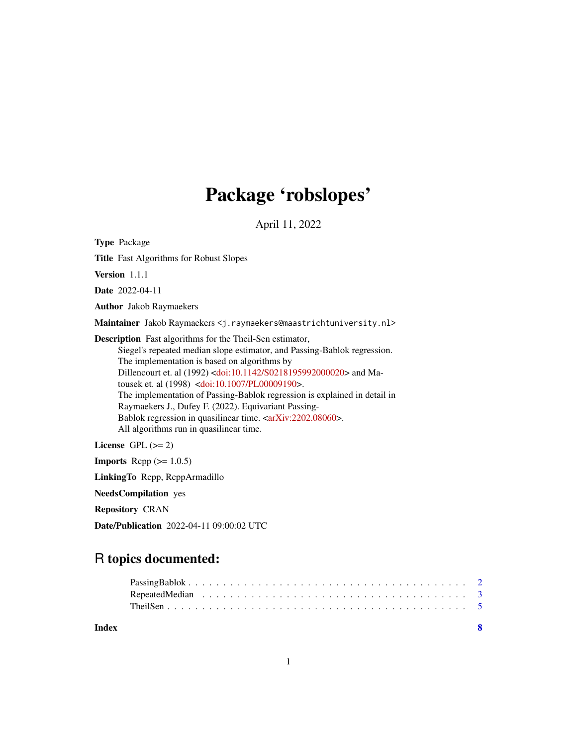## Package 'robslopes'

April 11, 2022

Type Package

Title Fast Algorithms for Robust Slopes

Version 1.1.1

Date 2022-04-11

Author Jakob Raymaekers

Maintainer Jakob Raymaekers <j.raymaekers@maastrichtuniversity.nl>

Description Fast algorithms for the Theil-Sen estimator,

Siegel's repeated median slope estimator, and Passing-Bablok regression. The implementation is based on algorithms by Dillencourt et. al (1992) [<doi:10.1142/S0218195992000020>](https://doi.org/10.1142/S0218195992000020) and Matousek et. al (1998) [<doi:10.1007/PL00009190>](https://doi.org/10.1007/PL00009190). The implementation of Passing-Bablok regression is explained in detail in Raymaekers J., Dufey F. (2022). Equivariant Passing-Bablok regression in quasilinear time. [<arXiv:2202.08060>](https://arxiv.org/abs/2202.08060). All algorithms run in quasilinear time.

License GPL  $(>= 2)$ 

**Imports** Rcpp  $(>= 1.0.5)$ 

LinkingTo Rcpp, RcppArmadillo

NeedsCompilation yes

Repository CRAN

Date/Publication 2022-04-11 09:00:02 UTC

### R topics documented:

| Index |  |  |  |  |  |  |  |  |  |  |  |  |  |  |  |
|-------|--|--|--|--|--|--|--|--|--|--|--|--|--|--|--|
|       |  |  |  |  |  |  |  |  |  |  |  |  |  |  |  |
|       |  |  |  |  |  |  |  |  |  |  |  |  |  |  |  |
|       |  |  |  |  |  |  |  |  |  |  |  |  |  |  |  |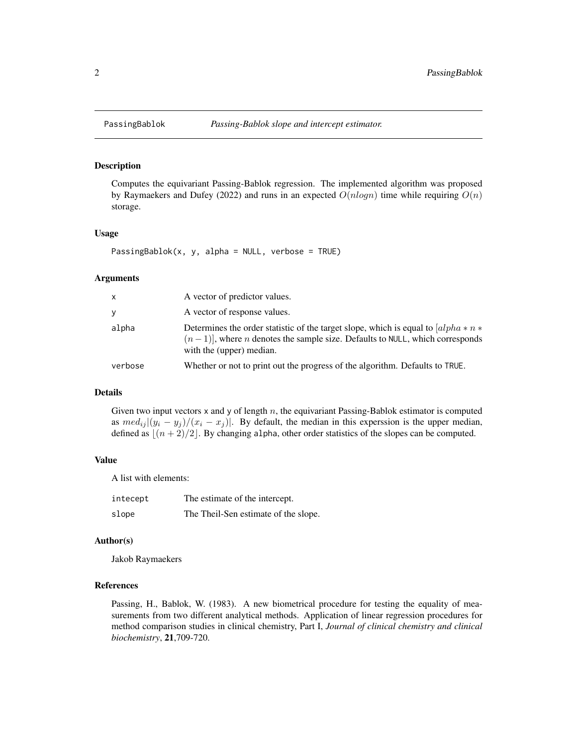<span id="page-1-0"></span>

#### Description

Computes the equivariant Passing-Bablok regression. The implemented algorithm was proposed by Raymaekers and Dufey (2022) and runs in an expected  $O(n \log n)$  time while requiring  $O(n)$ storage.

#### Usage

PassingBablok(x, y, alpha = NULL, verbose = TRUE)

#### Arguments

| X       | A vector of predictor values.                                                                                                                                                                                   |
|---------|-----------------------------------------------------------------------------------------------------------------------------------------------------------------------------------------------------------------|
| y       | A vector of response values.                                                                                                                                                                                    |
| alpha   | Determines the order statistic of the target slope, which is equal to $\int a lph a * n *$<br>$(n-1)$ , where <i>n</i> denotes the sample size. Defaults to NULL, which corresponds<br>with the (upper) median. |
| verbose | Whether or not to print out the progress of the algorithm. Defaults to TRUE.                                                                                                                                    |

#### Details

Given two input vectors  $x$  and  $y$  of length  $n$ , the equivariant Passing-Bablok estimator is computed as  $med_{ij} |(y_i - y_j)/(x_i - x_j)|$ . By default, the median in this experssion is the upper median, defined as  $\lfloor (n + 2)/2 \rfloor$ . By changing alpha, other order statistics of the slopes can be computed.

#### Value

A list with elements:

| intecept | The estimate of the intercept.       |
|----------|--------------------------------------|
| slope    | The Theil-Sen estimate of the slope. |

#### Author(s)

Jakob Raymaekers

#### References

Passing, H., Bablok, W. (1983). A new biometrical procedure for testing the equality of measurements from two different analytical methods. Application of linear regression procedures for method comparison studies in clinical chemistry, Part I, *Journal of clinical chemistry and clinical biochemistry*, 21,709-720.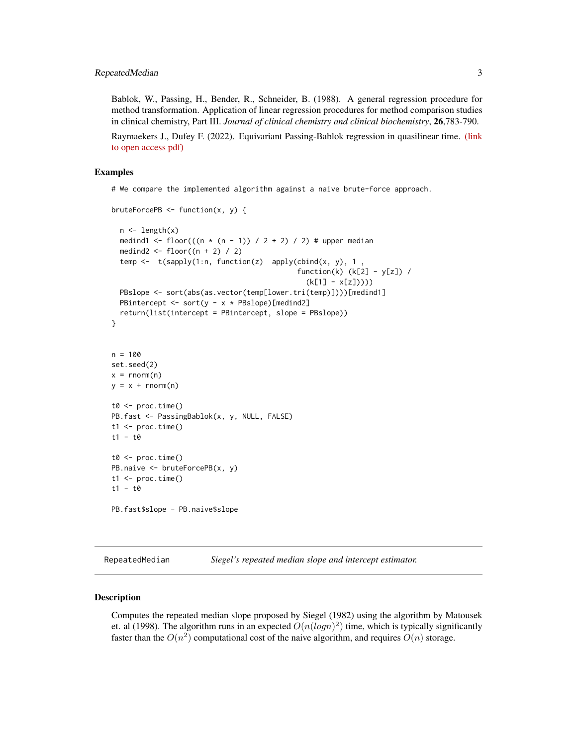<span id="page-2-0"></span>Bablok, W., Passing, H., Bender, R., Schneider, B. (1988). A general regression procedure for method transformation. Application of linear regression procedures for method comparison studies in clinical chemistry, Part III. *Journal of clinical chemistry and clinical biochemistry*, 26,783-790.

Raymaekers J., Dufey F. (2022). Equivariant Passing-Bablok regression in quasilinear time. [\(link](https://arxiv.org/abs/2202.08060) [to open access pdf\)](https://arxiv.org/abs/2202.08060)

#### Examples

# We compare the implemented algorithm against a naive brute-force approach.

```
bruteForcePB <- function(x, y) {
  n \leftarrow length(x)medind1 <- floor(((n * (n - 1)) / 2 + 2) / 2) # upper median
  medind2 \leftarrow floor((n + 2) / 2)
  temp \leq t(sapply(1:n, function(z) apply(cbind(x, y), 1,
                                               function(k) (k[2] - y[z]) /
                                                  (k[1] - x[z]))))
  PBslope <- sort(abs(as.vector(temp[lower.tri(temp)])))[medind1]
  PBintercept <- sort(y - x * PBslope)[medind2]
  return(list(intercept = PBintercept, slope = PBslope))
}
n = 100set.seed(2)
x = \text{norm}(n)y = x + rnorm(n)t0 < - proc.time()
PB.fast <- PassingBablok(x, y, NULL, FALSE)
t1 <- proc.time()t1 - t0
t0 \leq -\text{proc.time}()PB.naive <- bruteForcePB(x, y)
t1 \leftarrow \text{proc.time}()t1 - t0
PB.fast$slope - PB.naive$slope
```
RepeatedMedian *Siegel's repeated median slope and intercept estimator.*

#### Description

Computes the repeated median slope proposed by Siegel (1982) using the algorithm by Matousek et. al (1998). The algorithm runs in an expected  $O(n(logn)^2)$  time, which is typically significantly faster than the  $O(n^2)$  computational cost of the naive algorithm, and requires  $O(n)$  storage.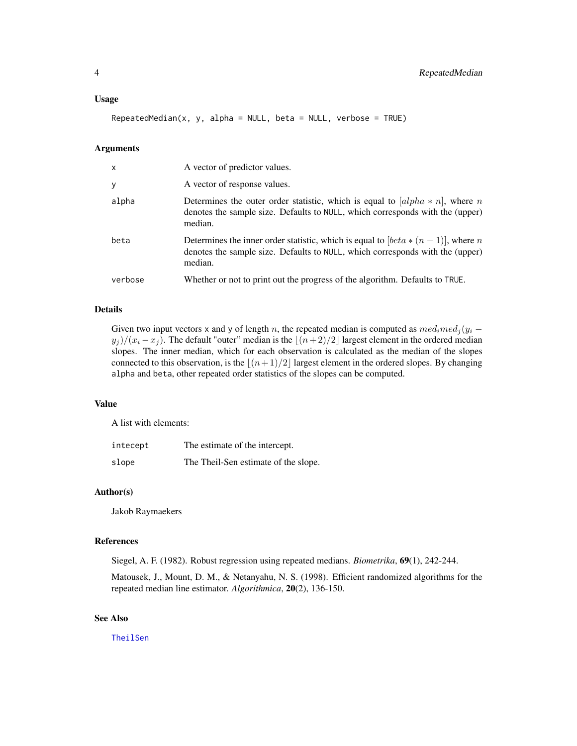<span id="page-3-0"></span> $RepeatedMedian(x, y, alpha = NULL, beta = NULL, verbose = TRUE)$ 

#### Arguments

| $\mathsf{x}$ | A vector of predictor values.                                                                                                                                                  |
|--------------|--------------------------------------------------------------------------------------------------------------------------------------------------------------------------------|
| У            | A vector of response values.                                                                                                                                                   |
| alpha        | Determines the outer order statistic, which is equal to $[alpha * n]$ , where n<br>denotes the sample size. Defaults to NULL, which corresponds with the (upper)<br>median.    |
| beta         | Determines the inner order statistic, which is equal to $[beta * (n-1)]$ , where n<br>denotes the sample size. Defaults to NULL, which corresponds with the (upper)<br>median. |
| verbose      | Whether or not to print out the progress of the algorithm. Defaults to TRUE.                                                                                                   |

#### Details

Given two input vectors x and y of length n, the repeated median is computed as  $med_i med_j(y_i$  $y_j)/(x_i - x_j)$ . The default "outer" median is the  $\lfloor (n+2)/2 \rfloor$  largest element in the ordered median slopes. The inner median, which for each observation is calculated as the median of the slopes connected to this observation, is the  $\lfloor (n+1)/2 \rfloor$  largest element in the ordered slopes. By changing alpha and beta, other repeated order statistics of the slopes can be computed.

#### Value

A list with elements:

| intecept | The estimate of the intercept.       |
|----------|--------------------------------------|
| slope    | The Theil-Sen estimate of the slope. |

#### Author(s)

Jakob Raymaekers

#### References

Siegel, A. F. (1982). Robust regression using repeated medians. *Biometrika*, 69(1), 242-244.

Matousek, J., Mount, D. M., & Netanyahu, N. S. (1998). Efficient randomized algorithms for the repeated median line estimator. *Algorithmica*, 20(2), 136-150.

#### See Also

**[TheilSen](#page-4-1)**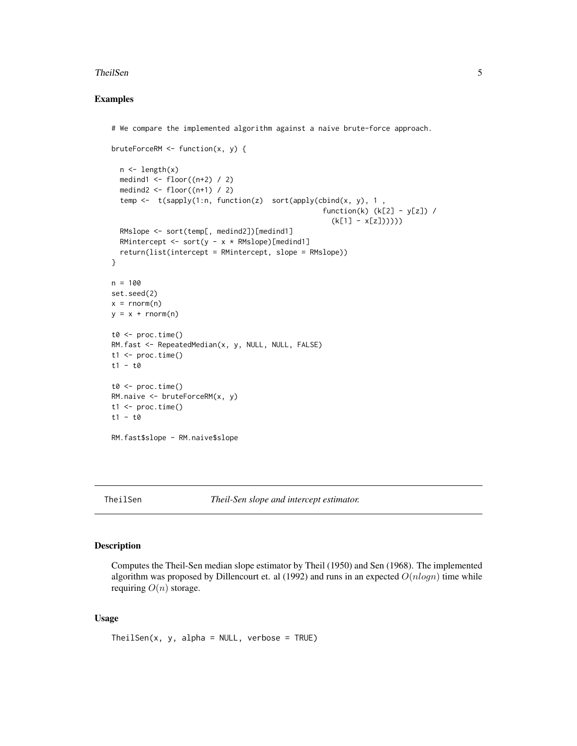#### <span id="page-4-0"></span>TheilSen 5

#### Examples

```
# We compare the implemented algorithm against a naive brute-force approach.
bruteForceRM <- function(x, y) {
  n <- length(x)
  medind1 <- floor((n+2) / 2)
  medind2 <- floor((n+1) / 2)
  temp <- t(sapply(1:n, function(z) sort(apply(cbind(x, y), 1 ,
                                                    function(k) (k[2] - y[z]) /
                                                      (k[1] - x[z])))))RMslope <- sort(temp[, medind2])[medind1]
  RMintercept <- sort(y - x * RMslope)[medind1]
  return(list(intercept = RMintercept, slope = RMslope))
}
n = 100set.seed(2)
x = rnorm(n)y = x + rnorm(n)t0 < - proc.time()
RM.fast <- RepeatedMedian(x, y, NULL, NULL, FALSE)
t1 <- proc.time()t1 - t0
t0 \leq -\text{proc.time}()RM.naive <- bruteForceRM(x, y)
t1 \leftarrow \text{proc.time}()t1 - t0
RM.fast$slope - RM.naive$slope
```
<span id="page-4-1"></span>TheilSen *Theil-Sen slope and intercept estimator.*

#### Description

Computes the Theil-Sen median slope estimator by Theil (1950) and Sen (1968). The implemented algorithm was proposed by Dillencourt et. al (1992) and runs in an expected  $O(nlogn)$  time while requiring  $O(n)$  storage.

#### Usage

 $The ilsen(x, y, alpha = NULL, verbose = TRUE)$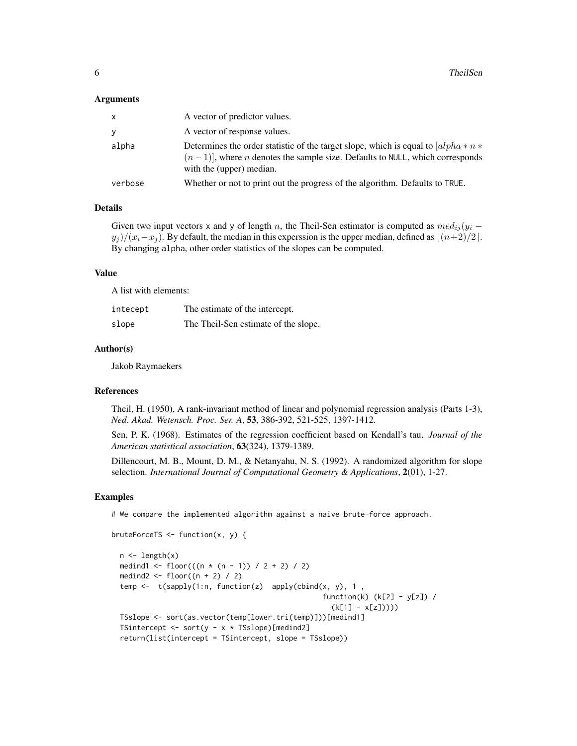#### Arguments

| X       | A vector of predictor values.                                                                                                                                                                             |
|---------|-----------------------------------------------------------------------------------------------------------------------------------------------------------------------------------------------------------|
| y       | A vector of response values.                                                                                                                                                                              |
| alpha   | Determines the order statistic of the target slope, which is equal to $ alpha * n *$<br>$(n-1)$ , where <i>n</i> denotes the sample size. Defaults to NULL, which corresponds<br>with the (upper) median. |
| verbose | Whether or not to print out the progress of the algorithm. Defaults to TRUE.                                                                                                                              |

#### Details

Given two input vectors x and y of length n, the Theil-Sen estimator is computed as  $med_{ij}(y_i$  $y_j)/(x_i-x_j)$ . By default, the median in this experssion is the upper median, defined as  $\lfloor (n+2)/2 \rfloor$ . By changing alpha, other order statistics of the slopes can be computed.

#### Value

A list with elements:

| intecept | The estimate of the intercept.       |
|----------|--------------------------------------|
| slope    | The Theil-Sen estimate of the slope. |

#### Author(s)

Jakob Raymaekers

bruteForceTS <- function(x, y) {

#### References

Theil, H. (1950), A rank-invariant method of linear and polynomial regression analysis (Parts 1-3), *Ned. Akad. Wetensch. Proc. Ser. A*, 53, 386-392, 521-525, 1397-1412.

Sen, P. K. (1968). Estimates of the regression coefficient based on Kendall's tau. *Journal of the American statistical association*, 63(324), 1379-1389.

Dillencourt, M. B., Mount, D. M., & Netanyahu, N. S. (1992). A randomized algorithm for slope selection. *International Journal of Computational Geometry & Applications*, 2(01), 1-27.

#### Examples

# We compare the implemented algorithm against a naive brute-force approach.

```
n <- length(x)
medind1 <- floor(((n * (n - 1)) / 2 + 2) / 2)
medind2 <- floor((n + 2) / 2)temp \leq t(sapply(1:n, function(z) apply(cbind(x, y), 1,
                                                function(k) (k[2] - y[z]) /
                                                  (k[1] - x[z]))))TSslope <- sort(as.vector(temp[lower.tri(temp)]))[medind1]
TSintercept <- sort(y - x * TSslope)[medind2]
return(list(intercept = TSintercept, slope = TSslope))
```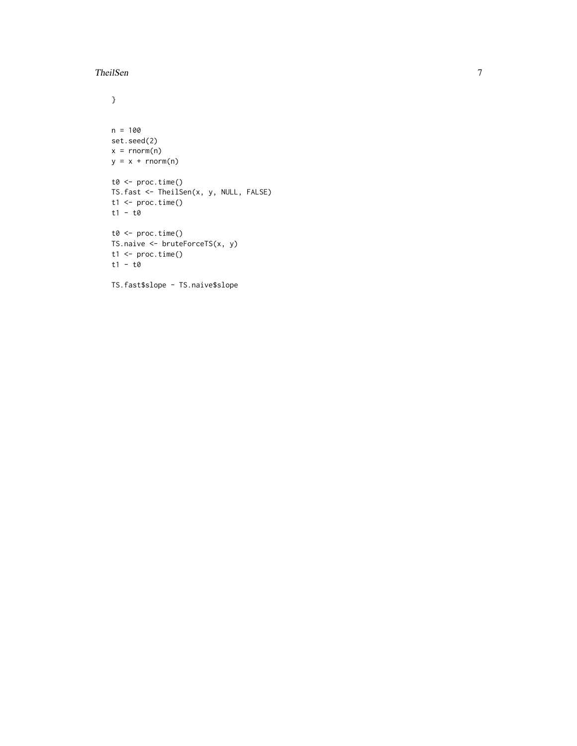#### TheilSen 7

```
}
n = 100
set.seed(2)
x = \text{norm}(n)y = x + rnorm(n)t0 <- proc.time()
TS.fast <- TheilSen(x, y, NULL, FALSE)
t1 <- proc.time()t1 - t0
t0 <- proc.time()
TS.naive <- bruteForceTS(x, y)
t1 <- proc.time()
t1 - t0
```
TS.fast\$slope - TS.naive\$slope